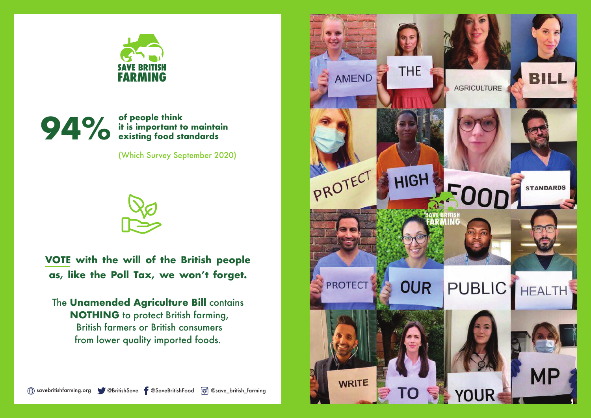

## of people think it is important to maintain **standards food existing 94%**

(Which Survey September 2020)



**VOTE** with the will of the British people as, like the Poll Tax, we won't forget.

**The Unamended Agriculture Bill contains NOTHING** to protect British farming, **British farmers or British consumers** from lower quality imported foods.